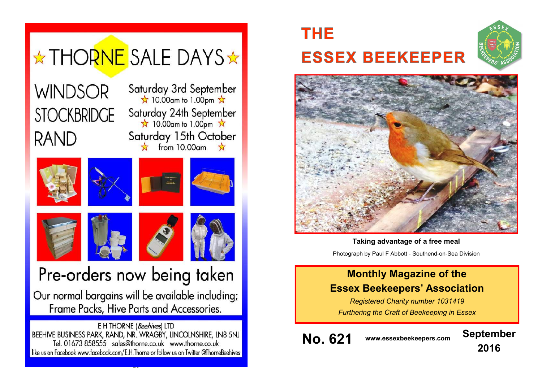

# **THE ESSEX BEEKEEPER**





**Taking advantage of a free meal**

Photograph by Paul F Abbott - Southend-on-Sea Division

# **Monthly Magazine of the Essex Beekeepers' Association**

*Registered Charity number 1031419 Furthering the Craft of Beekeeping in Essex*

**No. 621 www.essexbeekeepers.com September**

**2016**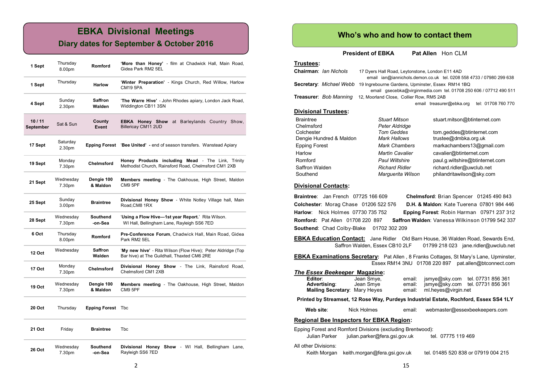# **EBKA Divisional Meetings**

### **Diary dates for September & October 2016**

| 1 Sept             | Thursday<br>8.00pm  | Romford                  | 'More than Honey' - film at Chadwick Hall, Main Road,<br>Gidea Park RM2 5EL                                 |  |  |
|--------------------|---------------------|--------------------------|-------------------------------------------------------------------------------------------------------------|--|--|
| 1 Sept             | Thursday            | <b>Harlow</b>            | 'Winter Preparation' - Kings Church, Red Willow, Harlow<br><b>CM19 5PA</b>                                  |  |  |
| 4 Sept             | Sunday<br>2.30pm    | <b>Saffron</b><br>Walden | 'The Warre Hive' - John Rhodes apiary, London Jack Road,<br>Widdington CB11 3SN                             |  |  |
| 10/11<br>September | Sat & Sun           | County<br>Event          | EBKA Honey Show at Barleylands Country Show,<br>Billericay CM11 2UD                                         |  |  |
| 17 Sept            | Saturday<br>2.30pm  | Epping Forest            | 'Bee United' - end of season transfers. Wanstead Apiary                                                     |  |  |
| 19 Sept            | Monday<br>7.30pm    | <b>Chelmsford</b>        | Honey Products including Mead - The Link, Trinity<br>Methodist Church, Rainsford Road, Chelmsford CM1 2XB   |  |  |
| 21 Sept            | Wednesday<br>7.30pm | Dengie 100<br>& Maldon   | Members meeting - The Oakhouse, High Street, Maldon<br>CM9 5PF                                              |  |  |
| 25 Sept            | Sunday<br>3.00pm    | <b>Braintree</b>         | Divisional Honey Show - White Notley Village hall, Main<br>Road, CM8 1RX                                    |  |  |
| 28 Sept            | Wednesday<br>7.30pm | Southend<br>-on-Sea      | 'Using a Flow Hive-1st year Report.' Rita Wilson.<br>WI Hall, Bellingham Lane, Rayleigh SS6 7ED             |  |  |
| 6 Oct              | Thursday<br>8.00pm  | <b>Romford</b>           | Pre-Conference Forum, Chadwick Hall, Main Road, Gidea<br>Park RM2 5EL                                       |  |  |
| 12 Oct             | Wednesday           | <b>Saffron</b><br>Walden | 'My new hive' - Rita Wilson (Flow Hive); Peter Aldridge (Top<br>Bar hive) at The Guildhall, Thaxted CM6 2RE |  |  |
| <b>17 Oct</b>      | Monday<br>7.30pm    | <b>Chelmsford</b>        | Divisional Honey Show - The Link, Rainsford Road,<br>Chelmsford CM1 2XB                                     |  |  |
| 19 Oct             | Wednesday<br>7.30pm | Dengie 100<br>& Maldon   | <b>Members meeting - The Oakhouse, High Street, Maldon</b><br>CM9 5PF                                       |  |  |
| 20 Oct             | Thursday            | <b>Epping Forest</b>     | Tbc                                                                                                         |  |  |
| 21 Oct             | Friday              | <b>Braintree</b>         | Tbc                                                                                                         |  |  |
| <b>26 Oct</b>      | Wednesday<br>7.30pm | Southend<br>-on-Sea      | Divisional Honey Show - WI Hall, Bellingham Lane,<br>Rayleigh SS6 7ED                                       |  |  |

### **Who's who and how to contact them**

**President of EBKA** Pat Allen Hon CLM

Marguerita Wilson philandritawilson@sky.com

#### **Trustees:**

| Chairman: Ian Nichols         | 17 Dyers Hall Road, Leytonstone, London E11 4AD   |                                                                     |  |  |
|-------------------------------|---------------------------------------------------|---------------------------------------------------------------------|--|--|
|                               |                                                   | email ian@iannichols.demon.co.uk tel. 0208 558 4733 / 07980 299 638 |  |  |
| Secretary: Michael Webb       | 19 Ingrebourne Gardens, Upminster, Essex RM14 1BQ |                                                                     |  |  |
|                               |                                                   | email qsecebka@virqinmedia.com tel. 01708 250 606 / 07712 490 511   |  |  |
| <b>Treasurer: Bob Manning</b> | 12, Moorland Close, Collier Row, RM5 2AB          |                                                                     |  |  |
|                               |                                                   | tel: 01708 760 770<br>email treasurer@ebka.org                      |  |  |
| <b>Divisional Trustees:</b>   |                                                   |                                                                     |  |  |
| <b>Braintree</b>              | <b>Stuart Mitson</b>                              | stuart.mitson@btinternet.com                                        |  |  |
| Chelmsford                    | Peter Aldridge                                    |                                                                     |  |  |
| Colchester                    | <b>Tom Geddes</b>                                 | tom.geddes@btinternet.com                                           |  |  |
| Dengie Hundred & Maldon       | Mark Hallows                                      | trustee@dmbka.org.uk                                                |  |  |
| <b>Epping Forest</b>          | <b>Mark Chambers</b>                              | markachambers13@gmail.com                                           |  |  |
| Harlow                        | <b>Martin Cavalier</b>                            | cavalier@btinternet.com                                             |  |  |
| Romford                       | <b>Paul Wiltshire</b>                             | paul.g.wiltshire@btinternet.com                                     |  |  |

#### **Divisional Contacts:**

**Braintree**: Jan French 07725 166 609 **Chelmsford**: Brian Spencer 01245 490 843 **Colchester**: Morag Chase 01206 522 576 **D.H. & Maldon**: Kate Tuerena 07801 984 446 **Harlow**: Nick Holmes 07730 735 752 **Epping Forest**: Robin Harman 07971 237 312 **Romford:** Pat Allen 01708 220 897 **Saffron Walden**: Vanessa Wilkinson 01799 542 337 **Southend**: Chad Colby-Blake 01702 302 209

Saffron Walden *Richard Ridler* richard.ridler@uwclub.net<br>Southend *Marquerita Wilson* philandritawilson@skv.com

**EBKA Education Contact:** Jane Ridler Old Barn House, 36 Walden Road, Sewards End, Saffron Walden, Essex CB10 2LF 01799 218 023 jane.ridler@uwclub.net

| EBKA Examinations Secretary: Pat Allen, 8 Franks Cottages, St Mary's Lane, Upminster, |  |                                                      |
|---------------------------------------------------------------------------------------|--|------------------------------------------------------|
|                                                                                       |  | Essex RM14 3NU 01708 220 897 pat.allen@btconnect.com |

#### *The Essex Beekeeper* **Magazine:**

| Editor:                              | Jean Smye. |        |                     | email: jsmye@sky.com tel. 07731 856 361 |
|--------------------------------------|------------|--------|---------------------|-----------------------------------------|
| Advertising:                         | Jean Smye  |        |                     | email: jsmye@sky.com tel. 07731 856 361 |
| <b>Mailing Secretary: Mary Heyes</b> |            | email: | ml.heyes@virgin.net |                                         |

**Printed by Streamset, 12 Rose Way, Purdeys Industrial Estate, Rochford, Essex SS4 1LY**

 **Web site**: Nick Holmes email: webmaster@essexbeekeepers.com

#### **Regional Bee Inspectors for EBKA Region:**

|                      | Epping Forest and Romford Divisions (excluding Brentwood): |                                     |
|----------------------|------------------------------------------------------------|-------------------------------------|
| Julian Parker        | julian.parker@fera.gsi.gov.uk                              | tel. 07775 119 469                  |
| All other Divisions: |                                                            |                                     |
|                      | Keith Morgan keith morgan@fera.gsi.gov.uk                  | tel. 01485 520 838 or 07919 004 215 |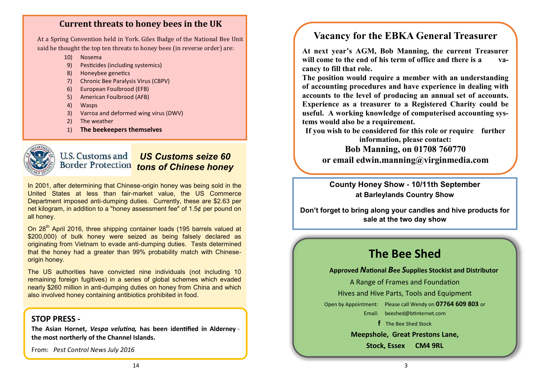# **Current threats to honey bees in the UK**

At a Spring Convention held in York. Giles Budge of the National Bee Unit said he thought the top ten threats to honey bees (in reverse order) are:

- 10) Nosema
- 9) Pesticides (including systemics)
- 8) Honeybee genetics
- 7) Chronic Bee Paralysis Virus (CBPV)
- 6) European Foulbrood (EFB)
- 5) American Foulbrood (AFB)
- 4) Wasps
- 3) Varroa and deformed wing virus (DWV)
- 2) The weather
- 1) **The beekeepers themselves**



#### U.S. Customs and *US Customs seize 60 tons of Chinese honey*

In 2001, after determining that Chinese-origin honey was being sold in the United States at less than fair-market value, the US Commerce Department imposed anti-dumping duties. Currently, these are \$2.63 per net kilogram, in addition to a "honey assessment fee" of 1.5¢ per pound on all honey.

On 28<sup>th</sup> April 2016, three shipping container loads (195 barrels valued at \$200,000) of bulk honey were seized as being falsely declared as originating from Vietnam to evade anti-dumping duties. Tests determined that the honey had a greater than 99% probability match with Chineseorigin honey.

The US authorities have convicted nine individuals (not including 10 remaining foreign fugitives) in a series of global schemes which evaded nearly \$260 million in anti-dumping duties on honey from China and which also involved honey containing antibiotics prohibited in food.

## **STOP PRESS -**

**The Asian Hornet,** *Vespa velutina,* **has been identified in Alderney the most northerly of the Channel Islands.**

From: *Pest Control News July 2016*

# **Vacancy for the EBKA General Treasurer**

**At next year's AGM, Bob Manning, the current Treasurer will come to the end of his term of office and there is a vacancy to fill that role.**

**The position would require a member with an understanding of accounting procedures and have experience in dealing with accounts to the level of producing an annual set of accounts. Experience as a treasurer to a Registered Charity could be useful. A working knowledge of computerised accounting systems would also be a requirement.**

**If you wish to be considered for this role or require further** 

**information, please contact: Bob Manning, on 01708 760770 or email [edwin.manning@virginmedia.com](mailto:edwin.manning@virginmedia.com)**

**County Honey Show - 10/11th September at Barleylands Country Show**

**Don't forget to bring along your candles and hive products for sale at the two day show**

# **The Bee Shed**

#### **Approved** *N***ational** *B***ee** *S***upplies Stockist and Distributor**

A Range of Frames and Foundation

Hives and Hive Parts, Tools and Equipment

Open by Appointment: Please call Wendy on **07764 609 803** or

Email: [beeshed@btinternet.com](mailto:beeshed@btinternet.com) 

**f** The Bee Shed Stock

**Meepshole, Great Prestons Lane,**

**Stock, Essex CM4 9RL**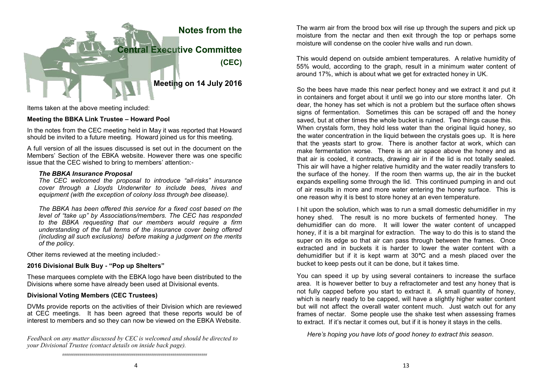

Items taken at the above meeting included:

#### **Meeting the BBKA Link Trustee – Howard Pool**

In the notes from the CEC meeting held in May it was reported that Howard should be invited to a future meeting. Howard joined us for this meeting.

A full version of all the issues discussed is set out in the document on the Members' Section of the EBKA website. However there was one specific issue that the CEC wished to bring to members' attention:-

#### *The BBKA Insurance Proposal*

*The CEC welcomed the proposal to introduce "all*-*risks" insurance cover through a Lloyds Underwriter to include bees, hives and equipment (with the exception of colony loss through bee disease).* 

*The BBKA has been offered this service for a fixed cost based on the level of "take up" by Associations/members. The CEC has responded to the BBKA requesting that our members would require a firm understanding of the full terms of the insurance cover being offered (including all such exclusions) before making a judgment on the merits of the policy.* 

Other items reviewed at the meeting included:-

#### **2016 Divisional Bulk Buy - "Pop up Shelters"**

These marquees complete with the EBKA logo have been distributed to the Divisions where some have already been used at Divisional events.

#### **Divisional Voting Members (CEC Trustees)**

DVMs provide reports on the activities of their Division which are reviewed at CEC meetings. It has been agreed that these reports would be of interest to members and so they can now be viewed on the EBKA Website.

*Feedback on any matter discussed by CEC is welcomed and should be directed to your Divisional Trustee (contact details on inside back page).*

The warm air from the brood box will rise up through the supers and pick up moisture from the nectar and then exit through the top or perhaps some moisture will condense on the cooler hive walls and run down.

This would depend on outside ambient temperatures. A relative humidity of 55% would, according to the graph, result in a minimum water content of around 17%, which is about what we get for extracted honey in UK.

So the bees have made this near perfect honey and we extract it and put it in containers and forget about it until we go into our store months later. Oh dear, the honey has set which is not a problem but the surface often shows signs of fermentation. Sometimes this can be scraped off and the honey saved, but at other times the whole bucket is ruined. Two things cause this. When crystals form, they hold less water than the original liquid honey, so the water concentration in the liquid between the crystals goes up. It is here that the yeasts start to grow. There is another factor at work, which can make fermentation worse. There is an air space above the honey and as that air is cooled, it contracts, drawing air in if the lid is not totally sealed. This air will have a higher relative humidity and the water readily transfers to the surface of the honey. If the room then warms up, the air in the bucket expands expelling some through the lid. This continued pumping in and out of air results in more and more water entering the honey surface. This is one reason why it is best to store honey at an even temperature.

I hit upon the solution, which was to run a small domestic dehumidifier in my honey shed. The result is no more buckets of fermented honey. The dehumidifier can do more. It will lower the water content of uncapped honey, if it is a bit marginal for extraction. The way to do this is to stand the super on its edge so that air can pass through between the frames. Once extracted and in buckets it is harder to lower the water content with a dehumidifier but if it is kept warm at 30**°**C and a mesh placed over the bucket to keep pests out it can be done, but it takes time.

You can speed it up by using several containers to increase the surface area. It is however better to buy a refractometer and test any honey that is not fully capped before you start to extract it. A small quantity of honey, which is nearly ready to be capped, will have a slightly higher water content but will not affect the overall water content much. Just watch out for any frames of nectar. Some people use the shake test when assessing frames to extract. If it's nectar it comes out, but if it is honey it stays in the cells.

 *Here's hoping you have lots of good honey to extract this season*.

*###########################################################################*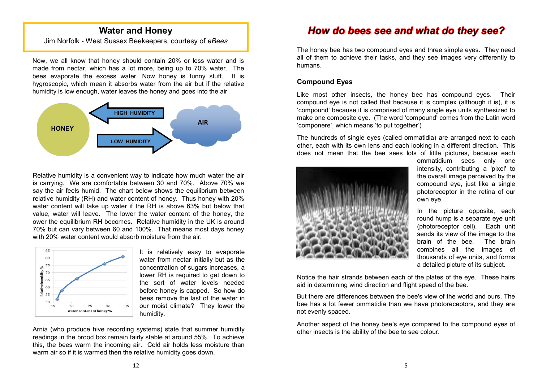## **Water and Honey**

Jim Norfolk - West Sussex Beekeepers, courtesy of *eBees*

Now, we all know that honey should contain 20% or less water and is made from nectar, which has a lot more, being up to 70% water. The bees evaporate the excess water. Now honey is funny stuff. It is hygroscopic, which mean it absorbs water from the air but if the relative humidity is low enough, water leaves the honey and goes into the air



Relative humidity is a convenient way to indicate how much water the air is carrying. We are comfortable between 30 and 70%. Above 70% we say the air feels humid. The chart below shows the equilibrium between relative humidity (RH) and water content of honey. Thus honey with 20% water content will take up water if the RH is above 63% but below that value, water will leave. The lower the water content of the honey, the ower the equilibrium RH becomes. Relative humidity in the UK is around 70% but can vary between 60 and 100%. That means most days honey with 20% water content would absorb moisture from the air.



It is relatively easy to evaporate water from nectar initially but as the concentration of sugars increases, a lower RH is required to get down to the sort of water levels needed before honey is capped. So how do bees remove the last of the water in our moist climate? They lower the humidity.

Arnia (who produce hive recording systems) state that summer humidity readings in the brood box remain fairly stable at around 55%. To achieve this, the bees warm the incoming air. Cold air holds less moisture than warm air so if it is warmed then the relative humidity goes down.

# How do bees see and what do they see?

The honey bee has two compound eyes and three simple eyes. They need all of them to achieve their tasks, and they see images very differently to humans.

#### **Compound Eyes**

Like most other insects, the honey bee has compound eyes. Their compound eye is not called that because it is complex (although it is), it is 'compound' because it is comprised of many single eye units synthesized to make one composite eye. (The word 'compound' comes from the Latin word 'componere', which means 'to put together')

The hundreds of single eyes (called ommatidia) are arranged next to each other, each with its own lens and each looking in a different direction. This does not mean that the bee sees lots of little pictures, because each



ommatidium sees only one intensity, contributing a 'pixel' to the overall image perceived by the compound eye, just like a single photoreceptor in the retina of our own eye.

In the picture opposite, each round hump is a separate eye unit (photoreceptor cell). Each unit sends its view of the image to the brain of the bee. The brain combines all the images of thousands of eye units, and forms a detailed picture of its subject.

Notice the hair strands between each of the plates of the eye. These hairs aid in determining wind direction and flight speed of the bee.

But there are differences between the bee's view of the world and ours. The bee has a lot fewer ommatidia than we have photoreceptors, and they are not evenly spaced.

Another aspect of the honey bee's eye compared to the compound eyes of other insects is the ability of the bee to see colour.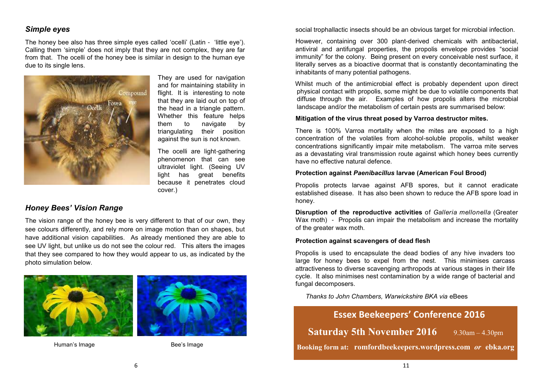### *Simple eyes*

The honey bee also has three simple eyes called 'ocelli' (Latin - 'little eye'). Calling them 'simple' does not imply that they are not complex, they are far from that. The ocelli of the honey bee is similar in design to the human eye due to its single lens.



They are used for navigation and for maintaining stability in flight. It is interesting to note that they are laid out on top of the head in a triangle pattern. Whether this feature helps them to navigate by triangulating their position against the sun is not known.

The ocelli are light-gathering phenomenon that can see ultraviolet light. (Seeing UV light has great benefits because it penetrates cloud cover.)

### *Honey Bees' Vision Range*

The vision range of the honey bee is very different to that of our own, they see colours differently, and rely more on image motion than on shapes, but have additional vision capabilities. As already mentioned they are able to see UV light, but unlike us do not see the colour red. This alters the images that they see compared to how they would appear to us, as indicated by the photo simulation below.



Human's Image Bee's Image

social trophallactic insects should be an obvious target for microbial infection.

However, containing over 300 plant-derived chemicals with antibacterial, antiviral and antifungal properties, the propolis envelope provides "social immunity" for the colony. Being present on every conceivable nest surface, it literally serves as a bioactive doormat that is constantly decontaminating the inhabitants of many potential pathogens.

Whilst much of the antimicrobial effect is probably dependent upon direct physical contact with propolis, some might be due to volatile components that diffuse through the air. Examples of how propolis alters the microbial landscape and/or the metabolism of certain pests are summarised below:

#### **Mitigation of the virus threat posed by Varroa destructor mites.**

There is 100% Varroa mortality when the mites are exposed to a high concentration of the volatiles from alcohol-soluble propolis, whilst weaker concentrations significantly impair mite metabolism. The varroa mite serves as a devastating viral transmission route against which honey bees currently have no effective natural defence.

#### **Protection against** *Paenibacillus* **larvae (American Foul Brood)**

Propolis protects larvae against AFB spores, but it cannot eradicate established disease. It has also been shown to reduce the AFB spore load in honey.

**Disruption of the reproductive activities** of *Galleria mellonella* (Greater Wax moth) - Propolis can impair the metabolism and increase the mortality of the greater wax moth.

#### **Protection against scavengers of dead flesh**

Propolis is used to encapsulate the dead bodies of any hive invaders too large for honey bees to expel from the nest. This minimises carcass attractiveness to diverse scavenging arthropods at various stages in their life cycle. It also minimises nest contamination by a wide range of bacterial and fungal decomposers.

*Thanks to John Chambers, Warwickshire BKA via* eBees

# **Essex Beekeepers' Conference 2016**

**Saturday 5th November 2016** 9.30am – 4.30pm

**Booking form at: romfordbeekeepers.wordpress.com** *or* **ebka.org**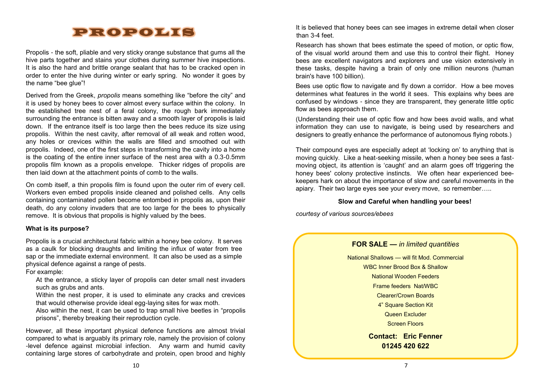# PROPOLIS

Propolis - the soft, pliable and very sticky orange substance that gums all the hive parts together and stains your clothes during summer hive inspections. It is also the hard and brittle orange sealant that has to be cracked open in order to enter the hive during winter or early spring. No wonder it goes by the name "bee glue"!

Derived from the Greek, *propolis* means something like "before the city" and it is used by honey bees to cover almost every surface within the colony. In the established tree nest of a feral colony, the rough bark immediately surrounding the entrance is bitten away and a smooth layer of propolis is laid down. If the entrance itself is too large then the bees reduce its size using propolis. Within the nest cavity, after removal of all weak and rotten wood, any holes or crevices within the walls are filled and smoothed out with propolis. Indeed, one of the first steps in transforming the cavity into a home is the coating of the entire inner surface of the nest area with a 0.3-0.5mm propolis film known as a propolis envelope. Thicker ridges of propolis are then laid down at the attachment points of comb to the walls.

On comb itself, a thin propolis film is found upon the outer rim of every cell. Workers even embed propolis inside cleaned and polished cells. Any cells containing contaminated pollen become entombed in propolis as, upon their death, do any colony invaders that are too large for the bees to physically remove. It is obvious that propolis is highly valued by the bees.

#### **What is its purpose?**

Propolis is a crucial architectural fabric within a honey bee colony. It serves as a caulk for blocking draughts and limiting the influx of water from tree sap or the immediate external environment. It can also be used as a simple physical defence against a range of pests.

For example:

At the entrance, a sticky layer of propolis can deter small nest invaders such as grubs and ants.

Within the nest proper, it is used to eliminate any cracks and crevices that would otherwise provide ideal egg-laying sites for wax moth.

Also within the nest, it can be used to trap small hive beetles in "propolis prisons", thereby breaking their reproduction cycle.

However, all these important physical defence functions are almost trivial compared to what is arguably its primary role, namely the provision of colony -level defence against microbial infection. Any warm and humid cavity containing large stores of carbohydrate and protein, open brood and highly

It is believed that honey bees can see images in extreme detail when closer than 3-4 feet.

Research has shown that bees estimate the speed of motion, or optic flow, of the visual world around them and use this to control their flight. Honey bees are excellent navigators and explorers and use vision extensively in these tasks, despite having a brain of only one million neurons (human brain's have 100 billion).

Bees use optic flow to navigate and fly down a corridor. How a bee moves determines what features in the world it sees. This explains why bees are confused by windows - since they are transparent, they generate little optic flow as bees approach them.

(Understanding their use of optic flow and how bees avoid walls, and what information they can use to navigate, is being used by researchers and designers to greatly enhance the performance of autonomous flying robots.)

Their compound eyes are especially adept at 'locking on' to anything that is moving quickly. Like a heat-seeking missile, when a honey bee sees a fastmoving object, its attention is 'caught' and an alarm goes off triggering the honey bees' colony protective instincts. We often hear experienced beekeepers hark on about the importance of slow and careful movements in the apiary. Their two large eyes see your every move, so remember…..

#### **Slow and Careful when handling your bees!**

*courtesy of various sources/ebees*